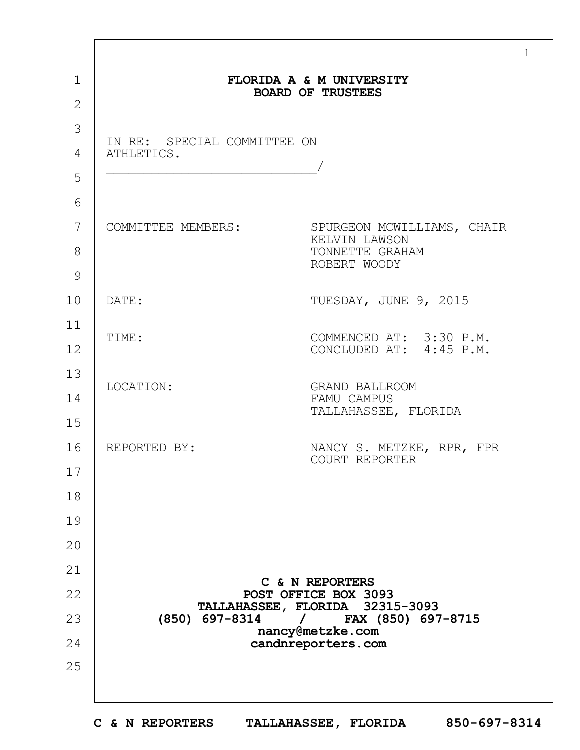|                |                                                                         | $\mathbf{1}$                                                 |  |
|----------------|-------------------------------------------------------------------------|--------------------------------------------------------------|--|
| $\mathbf 1$    |                                                                         | FLORIDA A & M UNIVERSITY                                     |  |
| $\overline{2}$ | <b>BOARD OF TRUSTEES</b>                                                |                                                              |  |
| 3              |                                                                         |                                                              |  |
| 4              | IN RE: SPECIAL COMMITTEE ON<br>ATHLETICS.                               |                                                              |  |
| 5              |                                                                         |                                                              |  |
| 6              |                                                                         |                                                              |  |
| 7              |                                                                         | COMMITTEE MEMBERS: SPURGEON MCWILLIAMS, CHAIR                |  |
| 8              |                                                                         | KELVIN LAWSON<br>TONNETTE GRAHAM                             |  |
| 9              |                                                                         | ROBERT WOODY                                                 |  |
| 10             | DATE:                                                                   | TUESDAY, JUNE 9, 2015                                        |  |
| 11             |                                                                         |                                                              |  |
| 12             | TIME:                                                                   | COMMENCED AT: 3:30 P.M.<br>CONCLUDED AT: 4:45 P.M.           |  |
| 13             |                                                                         |                                                              |  |
| 14             | LOCATION:                                                               | <b>GRAND BALLROOM</b><br>FAMU CAMPUS<br>TALLAHASSEE, FLORIDA |  |
| 15             |                                                                         |                                                              |  |
| 16             | REPORTED BY:                                                            | NANCY S. METZKE, RPR, FPR<br>COURT REPORTER                  |  |
| 17             |                                                                         |                                                              |  |
| 18             |                                                                         |                                                              |  |
| 19             |                                                                         |                                                              |  |
| 20             |                                                                         |                                                              |  |
| 21             |                                                                         |                                                              |  |
| 22             |                                                                         | C & N REPORTERS<br>POST OFFICE BOX 3093                      |  |
| 23             | TALLAHASSEE, FLORIDA 32315-3093<br>FAX (850) 697-8715<br>(850) 697-8314 |                                                              |  |
| 24             |                                                                         | nancy@metzke.com<br>candnreporters.com                       |  |
| 25             |                                                                         |                                                              |  |
|                |                                                                         |                                                              |  |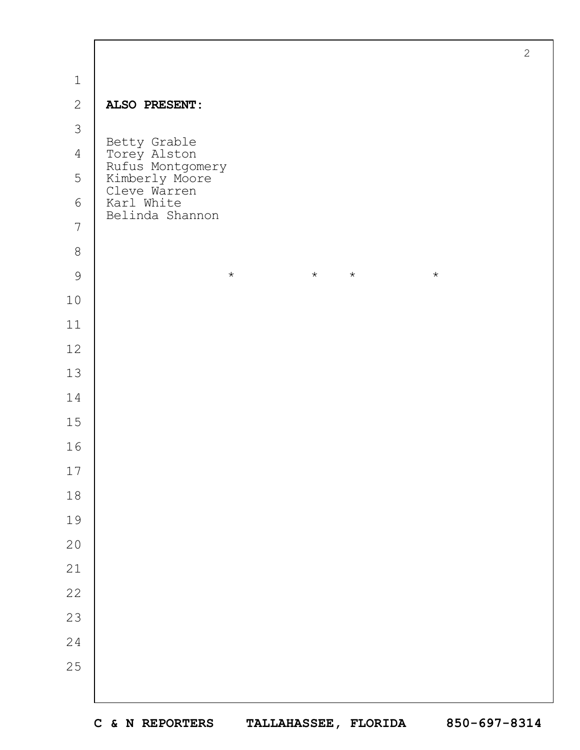|                | $\overline{2}$                                                     |
|----------------|--------------------------------------------------------------------|
| $\mathbf 1$    |                                                                    |
| $\mathbf{2}$   | ALSO PRESENT:                                                      |
| 3              |                                                                    |
| $\overline{4}$ | Betty Grable                                                       |
| 5              | Torey Alston<br>Rufus Montgomery<br>Kimberly Moore<br>Cleve Warren |
| $6\,$          | Karl White<br>Belinda Shannon                                      |
| $\overline{7}$ |                                                                    |
| $\,8\,$        |                                                                    |
| $\mathcal{G}$  | $\star$<br>$\star$<br>$\star$<br>$\star$                           |
| $10$           |                                                                    |
| $11$           |                                                                    |
| $12$           |                                                                    |
| 13             |                                                                    |
| 14             |                                                                    |
| $15$           |                                                                    |
| 16             |                                                                    |
| $17$           |                                                                    |
| $1\,8$         |                                                                    |
| 19             |                                                                    |
| $20$           |                                                                    |
| $21\,$         |                                                                    |
| 22             |                                                                    |
| 23             |                                                                    |
| $2\sqrt{4}$    |                                                                    |
| 25             |                                                                    |
|                |                                                                    |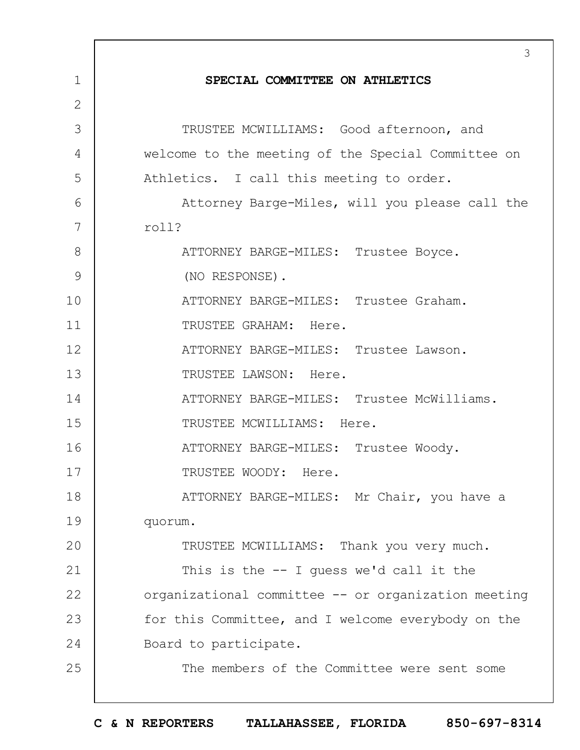|              | 3                                                   |
|--------------|-----------------------------------------------------|
| 1            | SPECIAL COMMITTEE ON ATHLETICS                      |
| $\mathbf{2}$ |                                                     |
| 3            | TRUSTEE MCWILLIAMS: Good afternoon, and             |
| 4            | welcome to the meeting of the Special Committee on  |
| 5            | Athletics. I call this meeting to order.            |
| 6            | Attorney Barge-Miles, will you please call the      |
| 7            | roll?                                               |
| 8            | ATTORNEY BARGE-MILES: Trustee Boyce.                |
| 9            | (NO RESPONSE).                                      |
| 10           | ATTORNEY BARGE-MILES: Trustee Graham.               |
| 11           | TRUSTEE GRAHAM: Here.                               |
| 12           | ATTORNEY BARGE-MILES: Trustee Lawson.               |
| 13           | TRUSTEE LAWSON: Here.                               |
| 14           | ATTORNEY BARGE-MILES: Trustee McWilliams.           |
| 15           | TRUSTEE MCWILLIAMS: Here.                           |
| 16           | ATTORNEY BARGE-MILES: Trustee Woody.                |
| 17           | TRUSTEE WOODY: Here.                                |
| 18           | ATTORNEY BARGE-MILES: Mr Chair, you have a          |
| 19           | quorum.                                             |
| 20           | TRUSTEE MCWILLIAMS: Thank you very much.            |
| 21           | This is the $-$ I quess we'd call it the            |
| 22           | organizational committee -- or organization meeting |
| 23           | for this Committee, and I welcome everybody on the  |
| 24           | Board to participate.                               |
| 25           | The members of the Committee were sent some         |
|              |                                                     |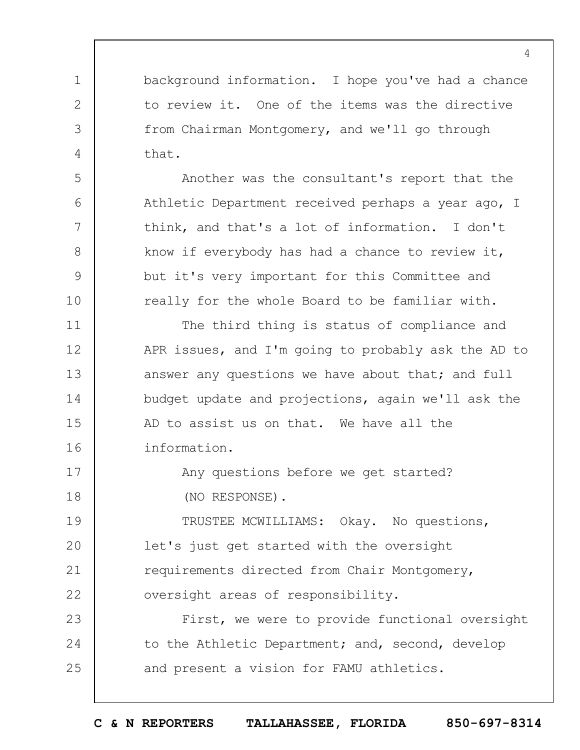background information. I hope you've had a chance to review it. One of the items was the directive from Chairman Montgomery, and we'll go through that.

1

2

3

4

5

6

7

8

9

10

17

18

Another was the consultant's report that the Athletic Department received perhaps a year ago, I think, and that's a lot of information. I don't know if everybody has had a chance to review it, but it's very important for this Committee and really for the whole Board to be familiar with.

11 12 13 14 15 16 The third thing is status of compliance and APR issues, and I'm going to probably ask the AD to answer any questions we have about that; and full budget update and projections, again we'll ask the AD to assist us on that. We have all the information.

> Any questions before we get started? (NO RESPONSE).

19  $20$ 21 22 TRUSTEE MCWILLIAMS: Okay. No questions, let's just get started with the oversight requirements directed from Chair Montgomery, oversight areas of responsibility.

23 24 25 First, we were to provide functional oversight to the Athletic Department; and, second, develop and present a vision for FAMU athletics.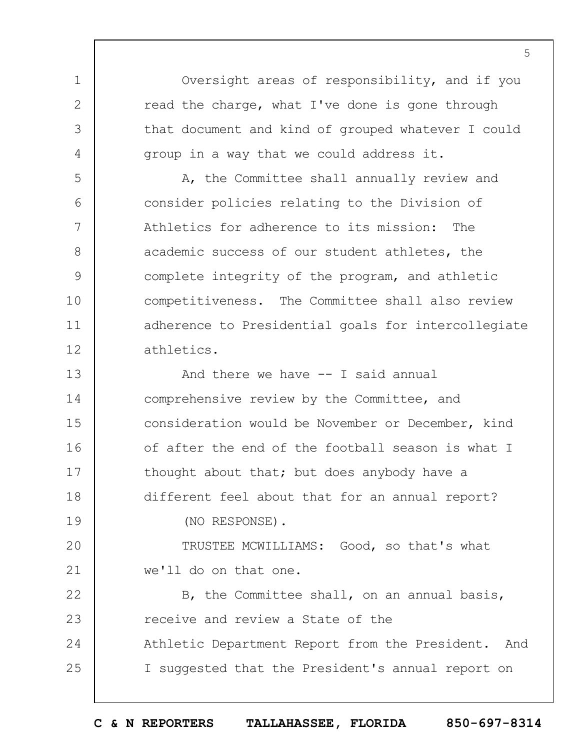Oversight areas of responsibility, and if you read the charge, what I've done is gone through that document and kind of grouped whatever I could group in a way that we could address it.

1

2

3

4

5

6

7

8

9

10

11

12

A, the Committee shall annually review and consider policies relating to the Division of Athletics for adherence to its mission: The academic success of our student athletes, the complete integrity of the program, and athletic competitiveness. The Committee shall also review adherence to Presidential goals for intercollegiate athletics.

13 14 15 16 17 18 19 And there we have -- I said annual comprehensive review by the Committee, and consideration would be November or December, kind of after the end of the football season is what I thought about that; but does anybody have a different feel about that for an annual report? (NO RESPONSE).

 $20$ 21 TRUSTEE MCWILLIAMS: Good, so that's what we'll do on that one.

22 23 24 25 B, the Committee shall, on an annual basis, receive and review a State of the Athletic Department Report from the President. And I suggested that the President's annual report on

**C & N REPORTERS TALLAHASSEE, FLORIDA 850-697-8314**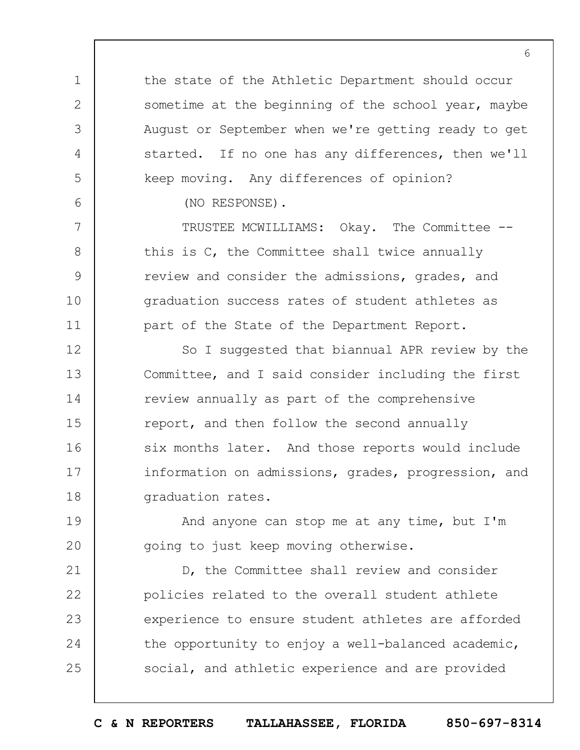the state of the Athletic Department should occur sometime at the beginning of the school year, maybe August or September when we're getting ready to get started. If no one has any differences, then we'll keep moving. Any differences of opinion?

(NO RESPONSE).

1

2

3

4

5

6

7

8

9

10

11

19

 $20$ 

TRUSTEE MCWILLIAMS: Okay. The Committee - this is C, the Committee shall twice annually review and consider the admissions, grades, and graduation success rates of student athletes as part of the State of the Department Report.

12 13 14 15 16 17 18 So I suggested that biannual APR review by the Committee, and I said consider including the first review annually as part of the comprehensive report, and then follow the second annually six months later. And those reports would include information on admissions, grades, progression, and graduation rates.

And anyone can stop me at any time, but I'm going to just keep moving otherwise.

21 22 23 24 25 D, the Committee shall review and consider policies related to the overall student athlete experience to ensure student athletes are afforded the opportunity to enjoy a well-balanced academic, social, and athletic experience and are provided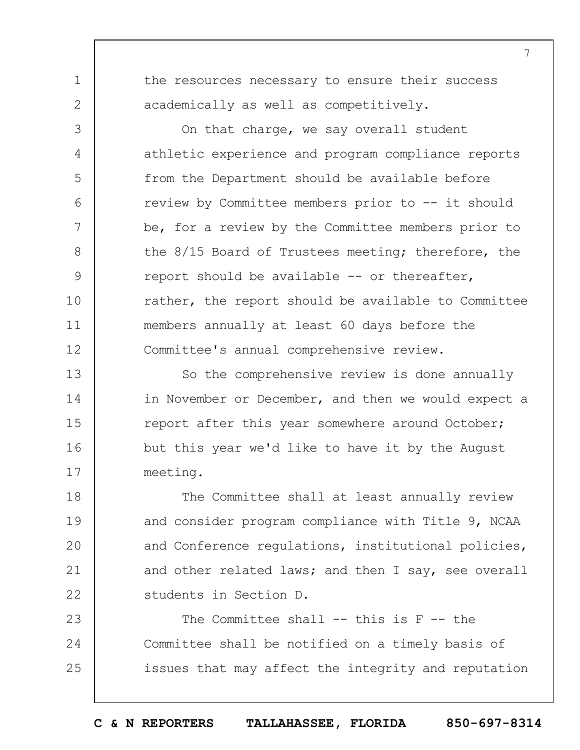the resources necessary to ensure their success academically as well as competitively.

1

2

3

4

5

 $6\overline{6}$ 

7

8

9

10

11

12

On that charge, we say overall student athletic experience and program compliance reports from the Department should be available before review by Committee members prior to -- it should be, for a review by the Committee members prior to the 8/15 Board of Trustees meeting; therefore, the report should be available -- or thereafter, rather, the report should be available to Committee members annually at least 60 days before the Committee's annual comprehensive review.

13 14 15 16 17 So the comprehensive review is done annually in November or December, and then we would expect a report after this year somewhere around October; but this year we'd like to have it by the August meeting.

18 19  $20$ 21 22 The Committee shall at least annually review and consider program compliance with Title 9, NCAA and Conference regulations, institutional policies, and other related laws; and then I say, see overall students in Section D.

23 24 25 The Committee shall  $-$ - this is  $F -$ - the Committee shall be notified on a timely basis of issues that may affect the integrity and reputation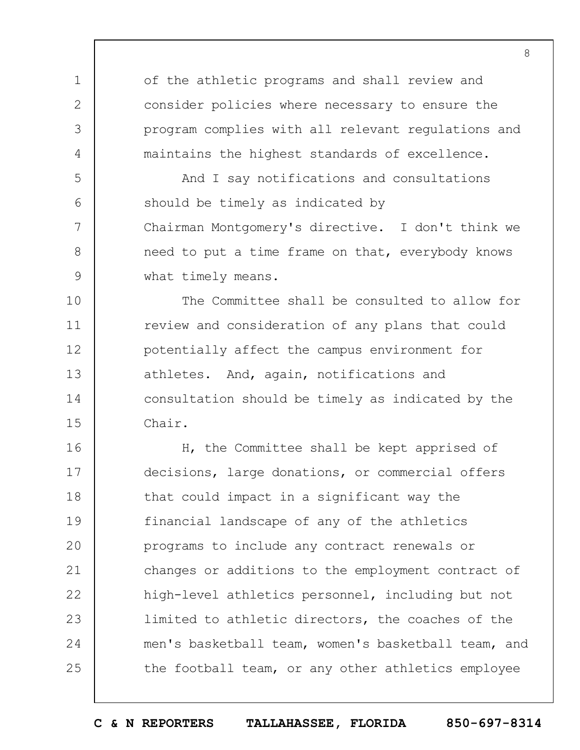of the athletic programs and shall review and consider policies where necessary to ensure the program complies with all relevant regulations and maintains the highest standards of excellence.

1

2

3

4

5

6

7

8

9

And I say notifications and consultations should be timely as indicated by Chairman Montgomery's directive. I don't think we need to put a time frame on that, everybody knows what timely means.

10 11 12 13 14 15 The Committee shall be consulted to allow for review and consideration of any plans that could potentially affect the campus environment for athletes. And, again, notifications and consultation should be timely as indicated by the Chair.

16 17 18 19  $20$ 21 22 23 24 25 H, the Committee shall be kept apprised of decisions, large donations, or commercial offers that could impact in a significant way the financial landscape of any of the athletics programs to include any contract renewals or changes or additions to the employment contract of high-level athletics personnel, including but not limited to athletic directors, the coaches of the men's basketball team, women's basketball team, and the football team, or any other athletics employee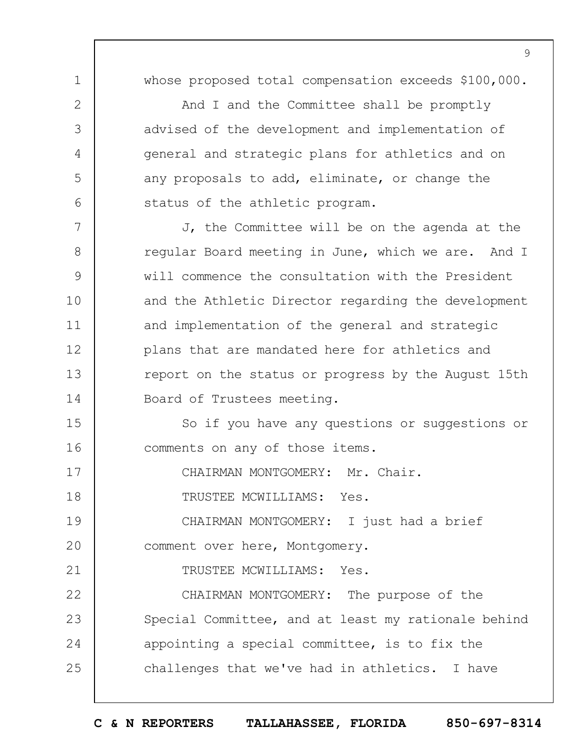whose proposed total compensation exceeds \$100,000.

And I and the Committee shall be promptly advised of the development and implementation of general and strategic plans for athletics and on any proposals to add, eliminate, or change the status of the athletic program.

7 8 9 10 11 12 13 14 J, the Committee will be on the agenda at the regular Board meeting in June, which we are. And I will commence the consultation with the President and the Athletic Director regarding the development and implementation of the general and strategic plans that are mandated here for athletics and report on the status or progress by the August 15th Board of Trustees meeting.

15 16 So if you have any questions or suggestions or comments on any of those items.

17 CHAIRMAN MONTGOMERY: Mr. Chair.

18 TRUSTEE MCWILLIAMS: Yes.

1

2

3

4

5

6

21

19  $20$ CHAIRMAN MONTGOMERY: I just had a brief comment over here, Montgomery.

TRUSTEE MCWILLIAMS: Yes.

22 23 24 25 CHAIRMAN MONTGOMERY: The purpose of the Special Committee, and at least my rationale behind appointing a special committee, is to fix the challenges that we've had in athletics. I have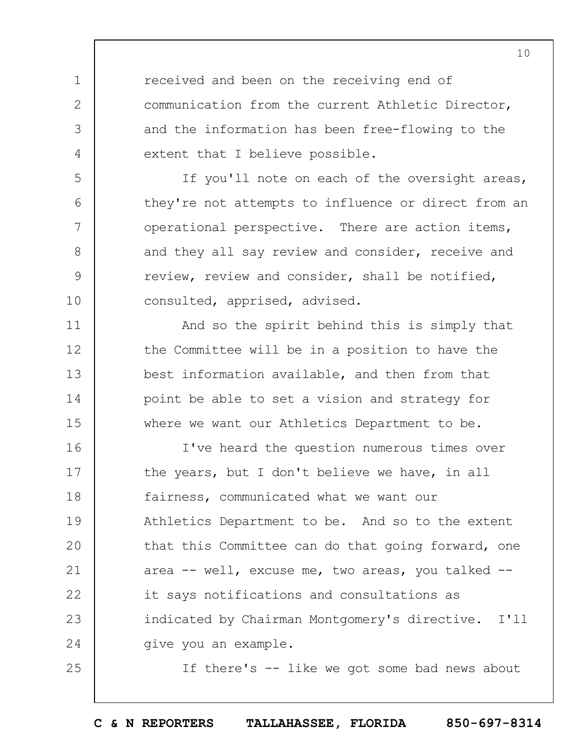received and been on the receiving end of communication from the current Athletic Director, and the information has been free-flowing to the extent that I believe possible.

1

2

3

4

5

6

7

8

9

10

11

12

13

14

15

25

If you'll note on each of the oversight areas, they're not attempts to influence or direct from an operational perspective. There are action items, and they all say review and consider, receive and review, review and consider, shall be notified, consulted, apprised, advised.

And so the spirit behind this is simply that the Committee will be in a position to have the best information available, and then from that point be able to set a vision and strategy for where we want our Athletics Department to be.

16 17 18 19  $20$ 21 22 23 24 I've heard the question numerous times over the years, but I don't believe we have, in all fairness, communicated what we want our Athletics Department to be. And so to the extent that this Committee can do that going forward, one area -- well, excuse me, two areas, you talked - it says notifications and consultations as indicated by Chairman Montgomery's directive. I'll give you an example.

If there's -- like we got some bad news about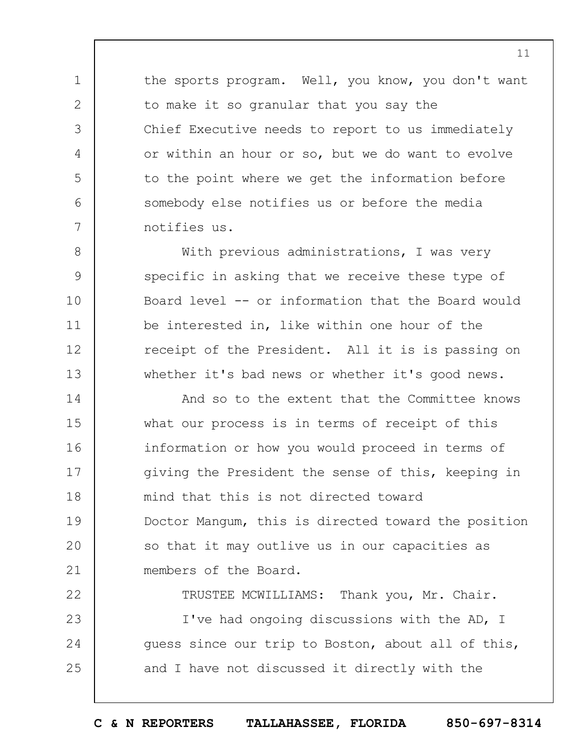the sports program. Well, you know, you don't want to make it so granular that you say the Chief Executive needs to report to us immediately or within an hour or so, but we do want to evolve to the point where we get the information before somebody else notifies us or before the media notifies us.

1

2

3

4

5

6

7

8

9

10

11

12

13

With previous administrations, I was very specific in asking that we receive these type of Board level -- or information that the Board would be interested in, like within one hour of the receipt of the President. All it is is passing on whether it's bad news or whether it's good news.

14 15 16 17 18 19  $20$ 21 And so to the extent that the Committee knows what our process is in terms of receipt of this information or how you would proceed in terms of giving the President the sense of this, keeping in mind that this is not directed toward Doctor Mangum, this is directed toward the position so that it may outlive us in our capacities as members of the Board.

22 23 24 25 TRUSTEE MCWILLIAMS: Thank you, Mr. Chair. I've had ongoing discussions with the AD, I guess since our trip to Boston, about all of this, and I have not discussed it directly with the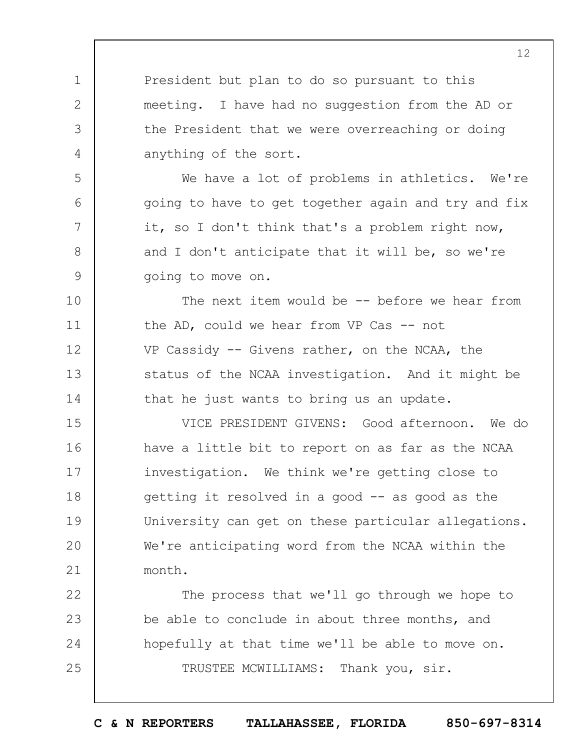President but plan to do so pursuant to this meeting. I have had no suggestion from the AD or the President that we were overreaching or doing anything of the sort.

1

2

3

4

5

6

7

8

9

22

23

24

25

We have a lot of problems in athletics. We're going to have to get together again and try and fix it, so I don't think that's a problem right now, and I don't anticipate that it will be, so we're going to move on.

10 11 12 13 14 The next item would be -- before we hear from the AD, could we hear from VP Cas  $-$  not VP Cassidy -- Givens rather, on the NCAA, the status of the NCAA investigation. And it might be that he just wants to bring us an update.

15 16 17 18 19  $20$ 21 VICE PRESIDENT GIVENS: Good afternoon. We do have a little bit to report on as far as the NCAA investigation. We think we're getting close to getting it resolved in a good  $-$  as good as the University can get on these particular allegations. We're anticipating word from the NCAA within the month.

The process that we'll go through we hope to be able to conclude in about three months, and hopefully at that time we'll be able to move on. TRUSTEE MCWILLIAMS: Thank you, sir.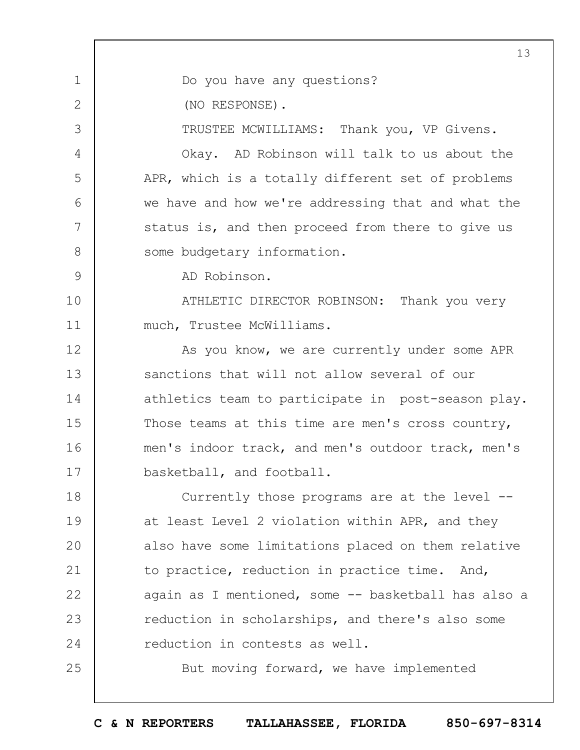1 2 3 4 5 6 7 8 9 10 11 12 13 14 15 16 17 18 19  $20$ 21 22 23 24 25 13 Do you have any questions? (NO RESPONSE). TRUSTEE MCWILLIAMS: Thank you, VP Givens. Okay. AD Robinson will talk to us about the APR, which is a totally different set of problems we have and how we're addressing that and what the status is, and then proceed from there to give us some budgetary information. AD Robinson. ATHLETIC DIRECTOR ROBINSON: Thank you very much, Trustee McWilliams. As you know, we are currently under some APR sanctions that will not allow several of our athletics team to participate in post-season play. Those teams at this time are men's cross country, men's indoor track, and men's outdoor track, men's basketball, and football. Currently those programs are at the level - at least Level 2 violation within APR, and they also have some limitations placed on them relative to practice, reduction in practice time. And, again as I mentioned, some -- basketball has also a reduction in scholarships, and there's also some reduction in contests as well. But moving forward, we have implemented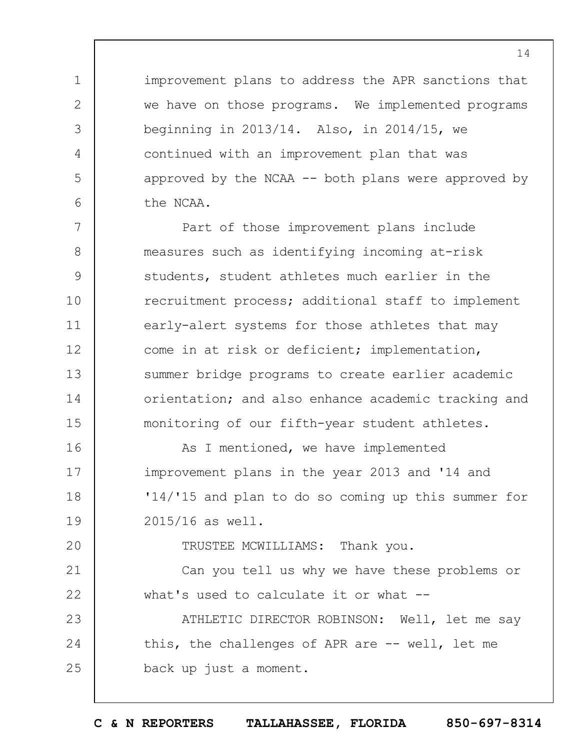improvement plans to address the APR sanctions that we have on those programs. We implemented programs beginning in 2013/14. Also, in 2014/15, we continued with an improvement plan that was approved by the NCAA  $--$  both plans were approved by the NCAA.

1

2

3

4

5

6

 $20$ 

7 8 9 10 11 12 13 14 15 Part of those improvement plans include measures such as identifying incoming at-risk students, student athletes much earlier in the recruitment process; additional staff to implement early-alert systems for those athletes that may come in at risk or deficient; implementation, summer bridge programs to create earlier academic orientation; and also enhance academic tracking and monitoring of our fifth-year student athletes.

16 17 18 19 As I mentioned, we have implemented improvement plans in the year 2013 and '14 and '14/'15 and plan to do so coming up this summer for 2015/16 as well.

TRUSTEE MCWILLIAMS: Thank you.

21 22 Can you tell us why we have these problems or what's used to calculate it or what --

23 24 25 ATHLETIC DIRECTOR ROBINSON: Well, let me say this, the challenges of APR are -- well, let me back up just a moment.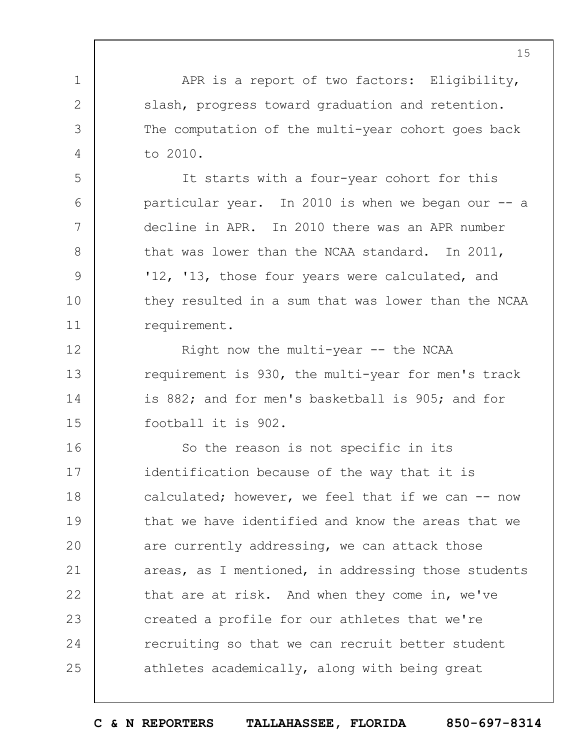1 2 3 4 5 6 7 8 9 10 11 12 13 14 15 16 17 18 19  $20$ 21 22 23 24 25 15 APR is a report of two factors: Eligibility, slash, progress toward graduation and retention. The computation of the multi-year cohort goes back to 2010. It starts with a four-year cohort for this particular year. In 2010 is when we began our -- a decline in APR. In 2010 there was an APR number that was lower than the NCAA standard. In 2011, '12, '13, those four years were calculated, and they resulted in a sum that was lower than the NCAA requirement. Right now the multi-year -- the NCAA requirement is 930, the multi-year for men's track is 882; and for men's basketball is 905; and for football it is 902. So the reason is not specific in its identification because of the way that it is calculated; however, we feel that if we can -- now that we have identified and know the areas that we are currently addressing, we can attack those areas, as I mentioned, in addressing those students that are at risk. And when they come in, we've created a profile for our athletes that we're recruiting so that we can recruit better student athletes academically, along with being great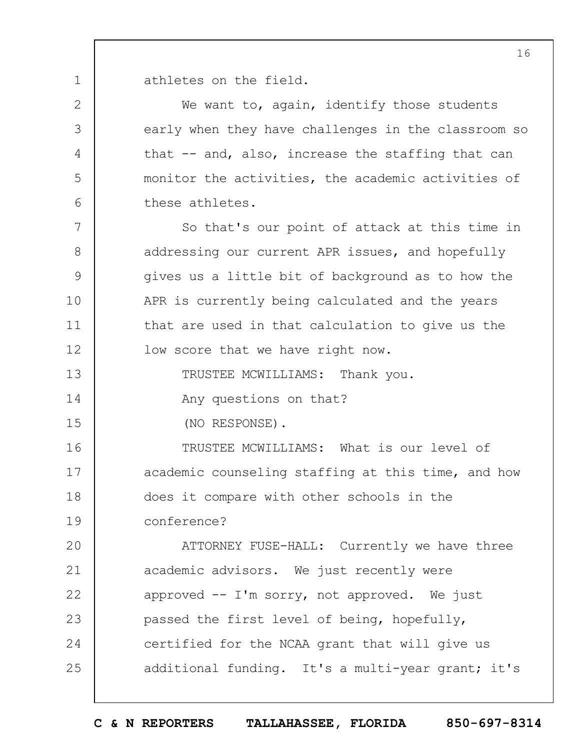1 athletes on the field.

2

3

4

5

6

7

8

9

10

11

12

13

14

15

We want to, again, identify those students early when they have challenges in the classroom so that -- and, also, increase the staffing that can monitor the activities, the academic activities of these athletes.

So that's our point of attack at this time in addressing our current APR issues, and hopefully gives us a little bit of background as to how the APR is currently being calculated and the years that are used in that calculation to give us the low score that we have right now.

TRUSTEE MCWILLIAMS: Thank you.

Any questions on that?

(NO RESPONSE).

16 17 18 19 TRUSTEE MCWILLIAMS: What is our level of academic counseling staffing at this time, and how does it compare with other schools in the conference?

 $20$ 21 22 23 24 25 ATTORNEY FUSE-HALL: Currently we have three academic advisors. We just recently were approved -- I'm sorry, not approved. We just passed the first level of being, hopefully, certified for the NCAA grant that will give us additional funding. It's a multi-year grant; it's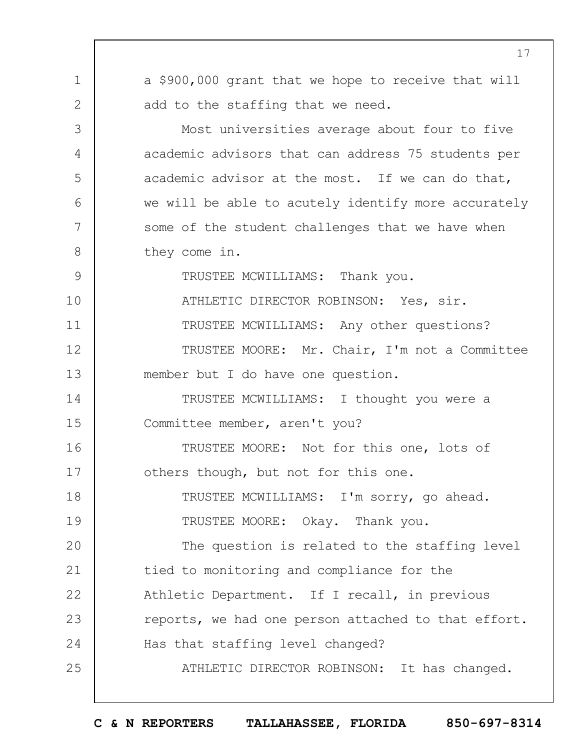1 2 3 4 5 6 7 8 9 10 11 12 13 14 15 16 17 18 19  $20$ 21 22 23 24 25 a \$900,000 grant that we hope to receive that will add to the staffing that we need. Most universities average about four to five academic advisors that can address 75 students per academic advisor at the most. If we can do that, we will be able to acutely identify more accurately some of the student challenges that we have when they come in. TRUSTEE MCWILLIAMS: Thank you. ATHLETIC DIRECTOR ROBINSON: Yes, sir. TRUSTEE MCWILLIAMS: Any other questions? TRUSTEE MOORE: Mr. Chair, I'm not a Committee member but I do have one question. TRUSTEE MCWILLIAMS: I thought you were a Committee member, aren't you? TRUSTEE MOORE: Not for this one, lots of others though, but not for this one. TRUSTEE MCWILLIAMS: I'm sorry, go ahead. TRUSTEE MOORE: Okay. Thank you. The question is related to the staffing level tied to monitoring and compliance for the Athletic Department. If I recall, in previous reports, we had one person attached to that effort. Has that staffing level changed? ATHLETIC DIRECTOR ROBINSON: It has changed.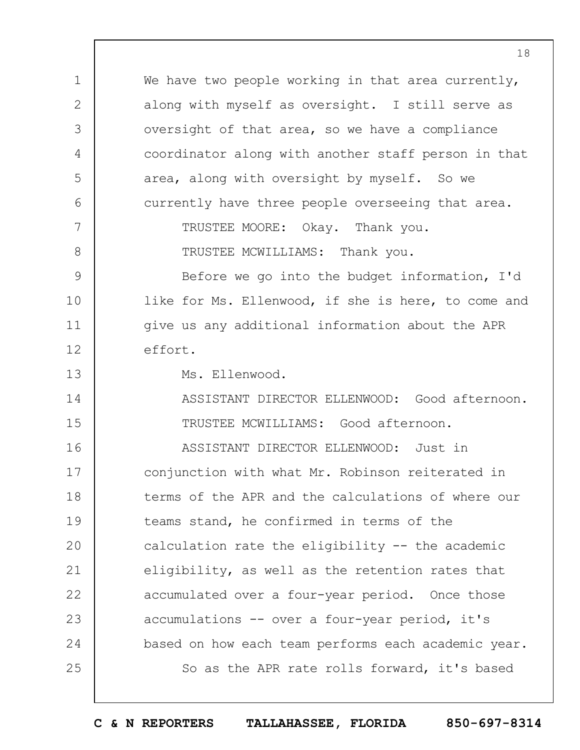1 2 3 4 5 6 7 8 9 10 11 12 13 14 15 16 17 18 19  $20$ 21 22 23 24 25 We have two people working in that area currently, along with myself as oversight. I still serve as oversight of that area, so we have a compliance coordinator along with another staff person in that area, along with oversight by myself. So we currently have three people overseeing that area. TRUSTEE MOORE: Okay. Thank you. TRUSTEE MCWILLIAMS: Thank you. Before we go into the budget information, I'd like for Ms. Ellenwood, if she is here, to come and give us any additional information about the APR effort. Ms. Ellenwood. ASSISTANT DIRECTOR ELLENWOOD: Good afternoon. TRUSTEE MCWILLIAMS: Good afternoon. ASSISTANT DIRECTOR ELLENWOOD: Just in conjunction with what Mr. Robinson reiterated in terms of the APR and the calculations of where our teams stand, he confirmed in terms of the calculation rate the eligibility -- the academic eligibility, as well as the retention rates that accumulated over a four-year period. Once those accumulations -- over a four-year period, it's based on how each team performs each academic year. So as the APR rate rolls forward, it's based

18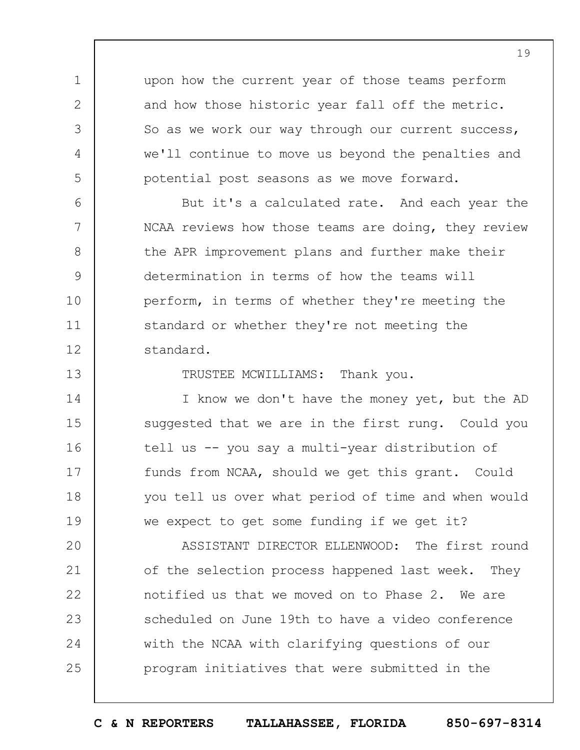upon how the current year of those teams perform and how those historic year fall off the metric. So as we work our way through our current success, we'll continue to move us beyond the penalties and potential post seasons as we move forward.

1

2

3

4

5

6

7

8

9

10

11

12

13

14

15

16

17

18

19

But it's a calculated rate. And each year the NCAA reviews how those teams are doing, they review the APR improvement plans and further make their determination in terms of how the teams will perform, in terms of whether they're meeting the standard or whether they're not meeting the standard.

TRUSTEE MCWILLIAMS: Thank you.

I know we don't have the money yet, but the AD suggested that we are in the first rung. Could you tell us -- you say a multi-year distribution of funds from NCAA, should we get this grant. Could you tell us over what period of time and when would we expect to get some funding if we get it?

 $20$ 21 22 23 24 25 ASSISTANT DIRECTOR ELLENWOOD: The first round of the selection process happened last week. They notified us that we moved on to Phase 2. We are scheduled on June 19th to have a video conference with the NCAA with clarifying questions of our program initiatives that were submitted in the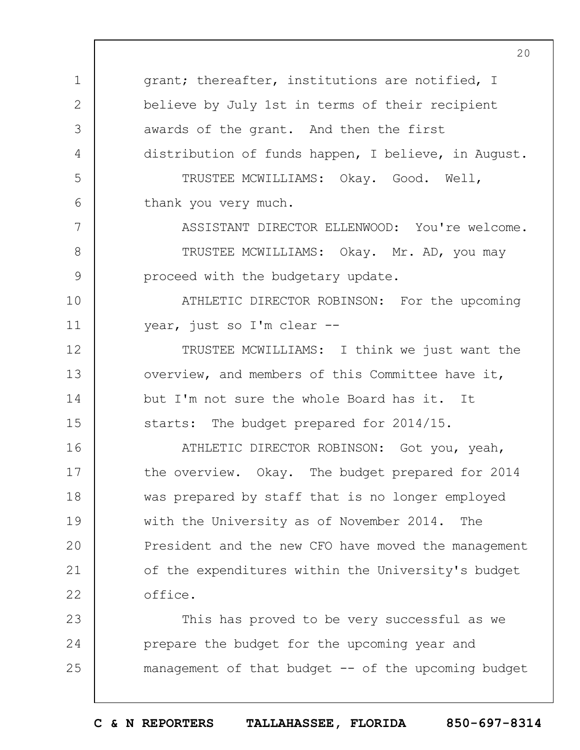1 2 3 4 5 6 grant; thereafter, institutions are notified, I believe by July 1st in terms of their recipient awards of the grant. And then the first distribution of funds happen, I believe, in August. TRUSTEE MCWILLIAMS: Okay. Good. Well, thank you very much.

ASSISTANT DIRECTOR ELLENWOOD: You're welcome. TRUSTEE MCWILLIAMS: Okay. Mr. AD, you may proceed with the budgetary update.

10 11 ATHLETIC DIRECTOR ROBINSON: For the upcoming year, just so I'm clear --

7

8

9

12 13 14 15 TRUSTEE MCWILLIAMS: I think we just want the overview, and members of this Committee have it, but I'm not sure the whole Board has it. It starts: The budget prepared for 2014/15.

16 17 18 19  $20$ 21 22 ATHLETIC DIRECTOR ROBINSON: Got you, yeah, the overview. Okay. The budget prepared for 2014 was prepared by staff that is no longer employed with the University as of November 2014. The President and the new CFO have moved the management of the expenditures within the University's budget office.

23 24 25 This has proved to be very successful as we prepare the budget for the upcoming year and management of that budget -- of the upcoming budget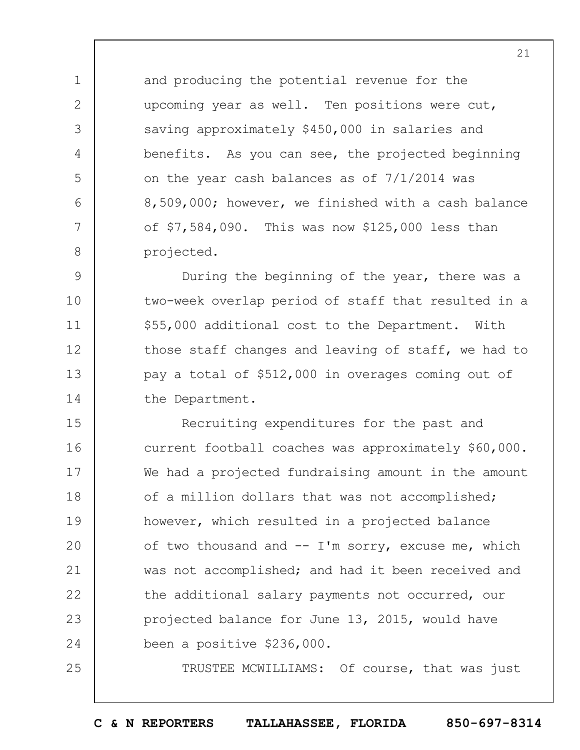and producing the potential revenue for the upcoming year as well. Ten positions were cut, saving approximately \$450,000 in salaries and benefits. As you can see, the projected beginning on the year cash balances as of 7/1/2014 was 8,509,000; however, we finished with a cash balance of \$7,584,090. This was now \$125,000 less than projected.

1

2

3

4

5

6

7

8

25

9 10 11 12 13 14 During the beginning of the year, there was a two-week overlap period of staff that resulted in a \$55,000 additional cost to the Department. With those staff changes and leaving of staff, we had to pay a total of \$512,000 in overages coming out of the Department.

15 16 17 18 19  $20$ 21 22 23 24 Recruiting expenditures for the past and current football coaches was approximately \$60,000. We had a projected fundraising amount in the amount of a million dollars that was not accomplished; however, which resulted in a projected balance of two thousand and  $-$  I'm sorry, excuse me, which was not accomplished; and had it been received and the additional salary payments not occurred, our projected balance for June 13, 2015, would have been a positive \$236,000.

TRUSTEE MCWILLIAMS: Of course, that was just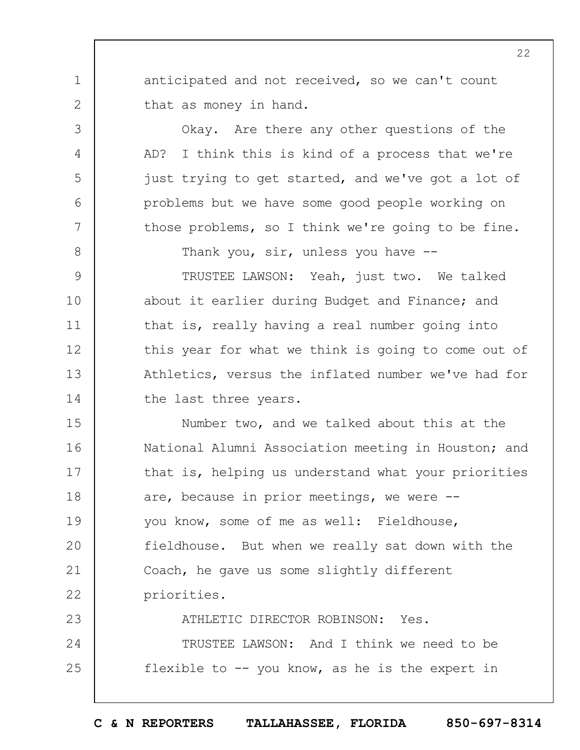anticipated and not received, so we can't count that as money in hand.

1

2

3

4

5

6

7

8

Okay. Are there any other questions of the AD? I think this is kind of a process that we're just trying to get started, and we've got a lot of problems but we have some good people working on those problems, so I think we're going to be fine.

Thank you, sir, unless you have --

9 10 11 12 13 14 TRUSTEE LAWSON: Yeah, just two. We talked about it earlier during Budget and Finance; and that is, really having a real number going into this year for what we think is going to come out of Athletics, versus the inflated number we've had for the last three years.

15 16 17 18 19  $20$ 21 22 23 Number two, and we talked about this at the National Alumni Association meeting in Houston; and that is, helping us understand what your priorities are, because in prior meetings, we were - you know, some of me as well: Fieldhouse, fieldhouse. But when we really sat down with the Coach, he gave us some slightly different priorities. ATHLETIC DIRECTOR ROBINSON: Yes.

24 25 TRUSTEE LAWSON: And I think we need to be flexible to  $-$ - you know, as he is the expert in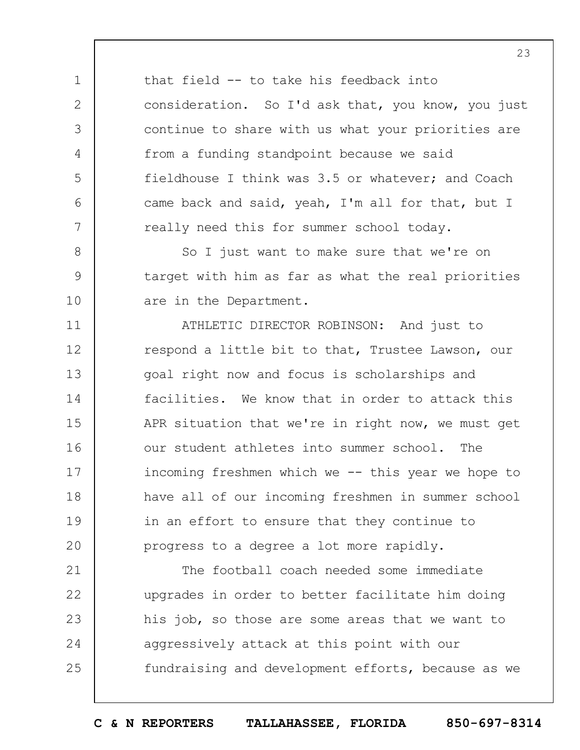that field -- to take his feedback into consideration. So I'd ask that, you know, you just continue to share with us what your priorities are from a funding standpoint because we said fieldhouse I think was 3.5 or whatever; and Coach came back and said, yeah, I'm all for that, but I really need this for summer school today.

1

2

3

4

5

6

7

8

9

10

So I just want to make sure that we're on target with him as far as what the real priorities are in the Department.

11 12 13 14 15 16 17 18 19  $20$ ATHLETIC DIRECTOR ROBINSON: And just to respond a little bit to that, Trustee Lawson, our goal right now and focus is scholarships and facilities. We know that in order to attack this APR situation that we're in right now, we must get our student athletes into summer school. The incoming freshmen which we -- this year we hope to have all of our incoming freshmen in summer school in an effort to ensure that they continue to progress to a degree a lot more rapidly.

21 22 23 24 25 The football coach needed some immediate upgrades in order to better facilitate him doing his job, so those are some areas that we want to aggressively attack at this point with our fundraising and development efforts, because as we

**C & N REPORTERS TALLAHASSEE, FLORIDA 850-697-8314**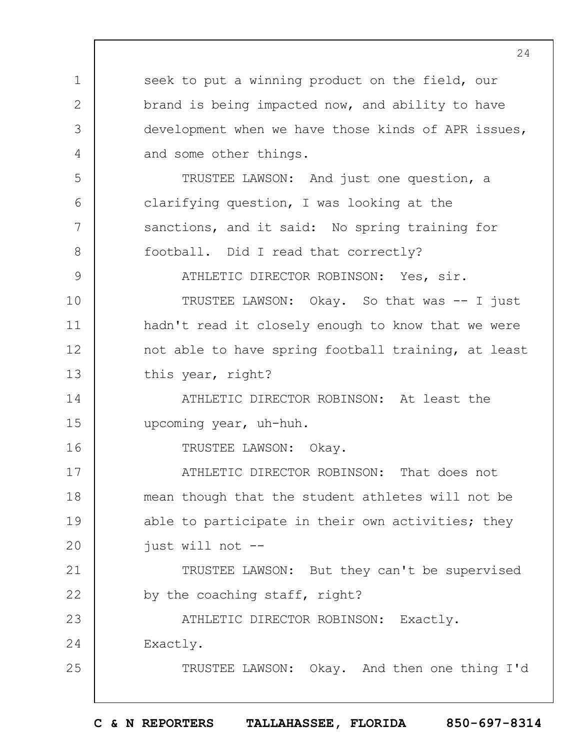1 2 3 4 5 6 7 8 9 10 11 12 13 14 15 16 17 18 19  $20$ 21 22 23 24 25 seek to put a winning product on the field, our brand is being impacted now, and ability to have development when we have those kinds of APR issues, and some other things. TRUSTEE LAWSON: And just one question, a clarifying question, I was looking at the sanctions, and it said: No spring training for football. Did I read that correctly? ATHLETIC DIRECTOR ROBINSON: Yes, sir. TRUSTEE LAWSON: Okay. So that was -- I just hadn't read it closely enough to know that we were not able to have spring football training, at least this year, right? ATHLETIC DIRECTOR ROBINSON: At least the upcoming year, uh-huh. TRUSTEE LAWSON: Okay. ATHLETIC DIRECTOR ROBINSON: That does not mean though that the student athletes will not be able to participate in their own activities; they just will not -- TRUSTEE LAWSON: But they can't be supervised by the coaching staff, right? ATHLETIC DIRECTOR ROBINSON: Exactly. Exactly. TRUSTEE LAWSON: Okay. And then one thing I'd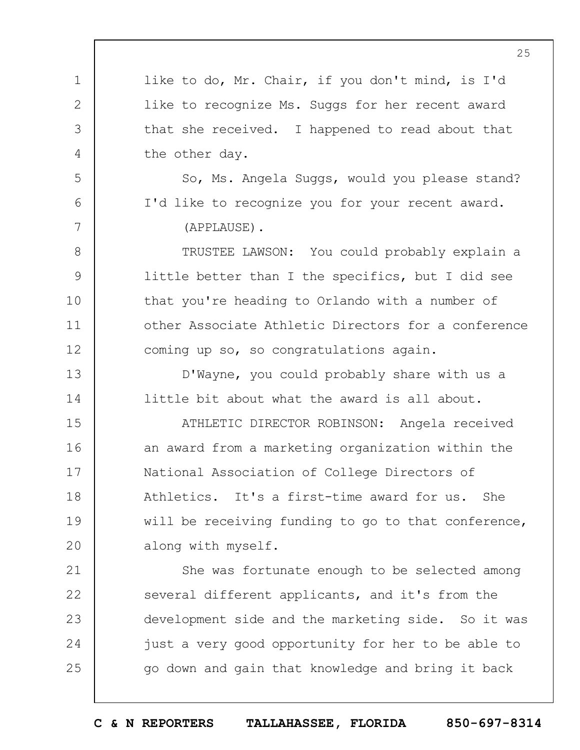|              | 25                                                  |
|--------------|-----------------------------------------------------|
| $\mathbf 1$  | like to do, Mr. Chair, if you don't mind, is I'd    |
| $\mathbf{2}$ | like to recognize Ms. Suggs for her recent award    |
| 3            | that she received. I happened to read about that    |
| 4            | the other day.                                      |
| 5            | So, Ms. Angela Suggs, would you please stand?       |
| 6            | I'd like to recognize you for your recent award.    |
| 7            | (APPLAUSE).                                         |
| 8            | TRUSTEE LAWSON: You could probably explain a        |
| 9            | little better than I the specifics, but I did see   |
| 10           | that you're heading to Orlando with a number of     |
| 11           | other Associate Athletic Directors for a conference |
| 12           | coming up so, so congratulations again.             |
| 13           | D'Wayne, you could probably share with us a         |
| 14           | little bit about what the award is all about.       |
| 15           | ATHLETIC DIRECTOR ROBINSON: Angela received         |
| 16           | an award from a marketing organization within the   |
| 17           | National Association of College Directors of        |
| 18           | Athletics. It's a first-time award for us.<br>She   |
| 19           | will be receiving funding to go to that conference, |
| 20           | along with myself.                                  |
| 21           | She was fortunate enough to be selected among       |
| 22           | several different applicants, and it's from the     |
| 23           | development side and the marketing side. So it was  |
| 24           | just a very good opportunity for her to be able to  |
| 25           | go down and gain that knowledge and bring it back   |
|              |                                                     |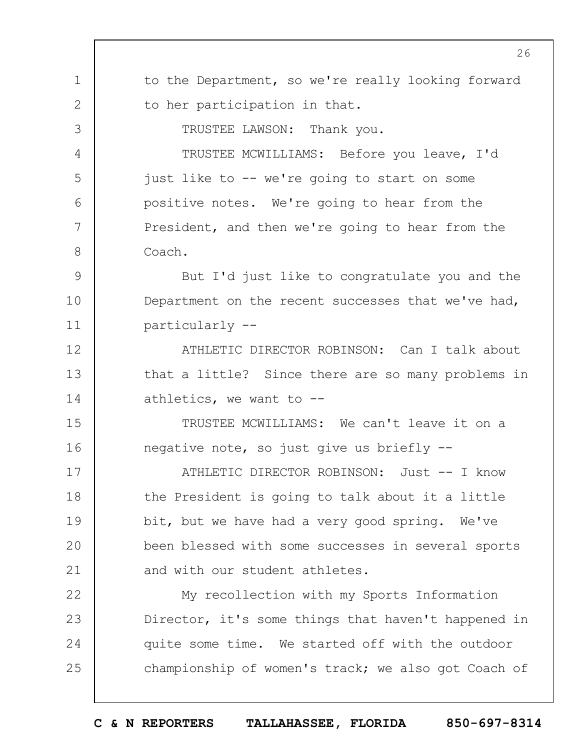1 2 3 4 5 6 7 8 9 10 11 12 13 14 15 16 17 18 19  $20$ 21 22 23 24 25 to the Department, so we're really looking forward to her participation in that. TRUSTEE LAWSON: Thank you. TRUSTEE MCWILLIAMS: Before you leave, I'd just like to -- we're going to start on some positive notes. We're going to hear from the President, and then we're going to hear from the Coach. But I'd just like to congratulate you and the Department on the recent successes that we've had, particularly -- ATHLETIC DIRECTOR ROBINSON: Can I talk about that a little? Since there are so many problems in athletics, we want to -- TRUSTEE MCWILLIAMS: We can't leave it on a negative note, so just give us briefly -- ATHLETIC DIRECTOR ROBINSON: Just -- I know the President is going to talk about it a little bit, but we have had a very good spring. We've been blessed with some successes in several sports and with our student athletes. My recollection with my Sports Information Director, it's some things that haven't happened in quite some time. We started off with the outdoor championship of women's track; we also got Coach of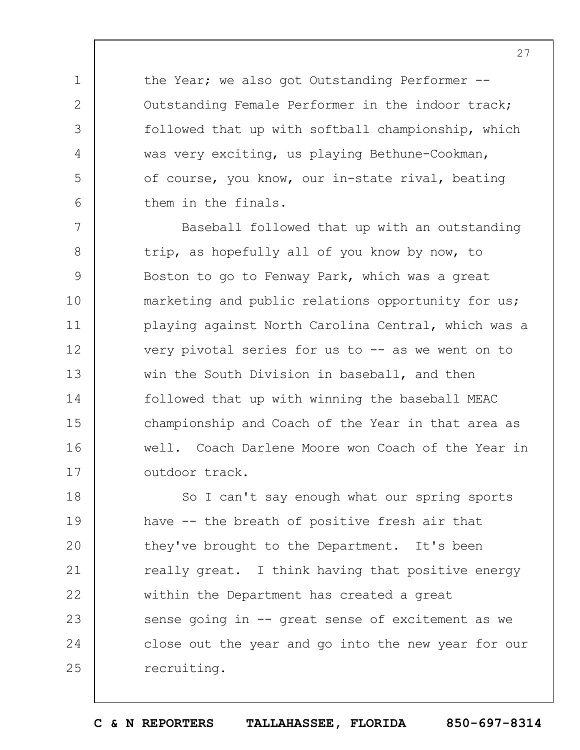the Year; we also got Outstanding Performer --Outstanding Female Performer in the indoor track; followed that up with softball championship, which was very exciting, us playing Bethune-Cookman, of course, you know, our in-state rival, beating them in the finals.

1

2

3

4

5

6

7 8 9 10 11 12 13 14 15 16 17 Baseball followed that up with an outstanding trip, as hopefully all of you know by now, to Boston to go to Fenway Park, which was a great marketing and public relations opportunity for us; playing against North Carolina Central, which was a very pivotal series for us to  $-$  as we went on to win the South Division in baseball, and then followed that up with winning the baseball MEAC championship and Coach of the Year in that area as well. Coach Darlene Moore won Coach of the Year in outdoor track.

18 19  $20$ 21 22 23 24 25 So I can't say enough what our spring sports have -- the breath of positive fresh air that they've brought to the Department. It's been really great. I think having that positive energy within the Department has created a great sense going in -- great sense of excitement as we close out the year and go into the new year for our recruiting.

**C & N REPORTERS TALLAHASSEE, FLORIDA 850-697-8314**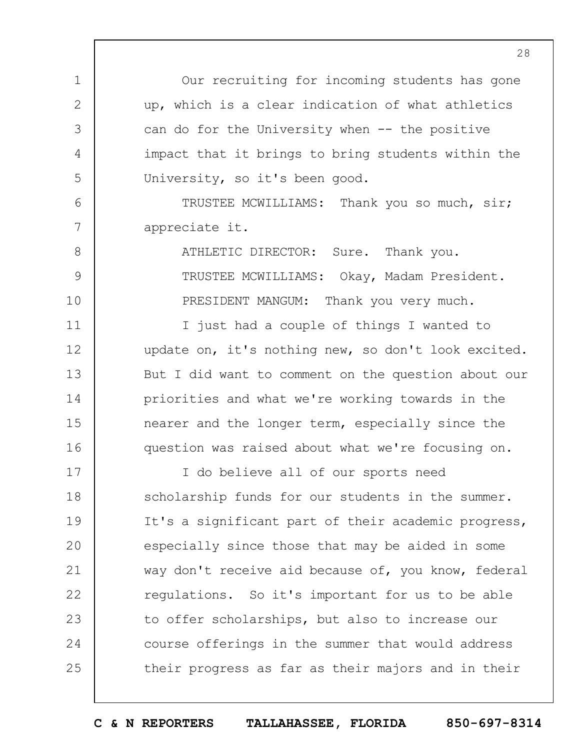Our recruiting for incoming students has gone up, which is a clear indication of what athletics can do for the University when -- the positive impact that it brings to bring students within the University, so it's been good.

TRUSTEE MCWILLIAMS: Thank you so much, sir; appreciate it.

1

2

3

4

5

6

7

8

9

10

11

12

13

14

15

16

ATHLETIC DIRECTOR: Sure. Thank you. TRUSTEE MCWILLIAMS: Okay, Madam President. PRESIDENT MANGUM: Thank you very much.

I just had a couple of things I wanted to update on, it's nothing new, so don't look excited. But I did want to comment on the question about our priorities and what we're working towards in the nearer and the longer term, especially since the question was raised about what we're focusing on.

17 18 19  $20$ 21 22 23 24 25 I do believe all of our sports need scholarship funds for our students in the summer. It's a significant part of their academic progress, especially since those that may be aided in some way don't receive aid because of, you know, federal regulations. So it's important for us to be able to offer scholarships, but also to increase our course offerings in the summer that would address their progress as far as their majors and in their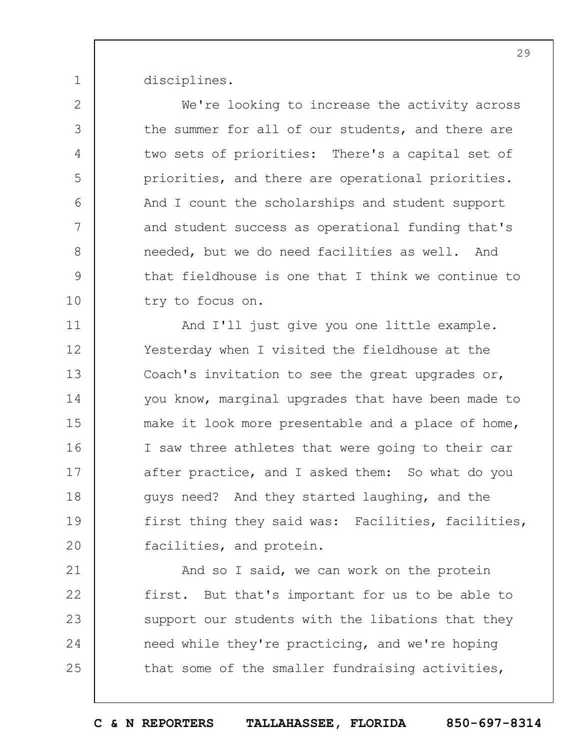disciplines.

1

2

3

4

5

6

7

8

9

10

We're looking to increase the activity across the summer for all of our students, and there are two sets of priorities: There's a capital set of priorities, and there are operational priorities. And I count the scholarships and student support and student success as operational funding that's needed, but we do need facilities as well. And that fieldhouse is one that I think we continue to try to focus on.

11 12 13 14 15 16 17 18 19  $20$ And I'll just give you one little example. Yesterday when I visited the fieldhouse at the Coach's invitation to see the great upgrades or, you know, marginal upgrades that have been made to make it look more presentable and a place of home, I saw three athletes that were going to their car after practice, and I asked them: So what do you guys need? And they started laughing, and the first thing they said was: Facilities, facilities, facilities, and protein.

21 22 23 24 25 And so I said, we can work on the protein first. But that's important for us to be able to support our students with the libations that they need while they're practicing, and we're hoping that some of the smaller fundraising activities,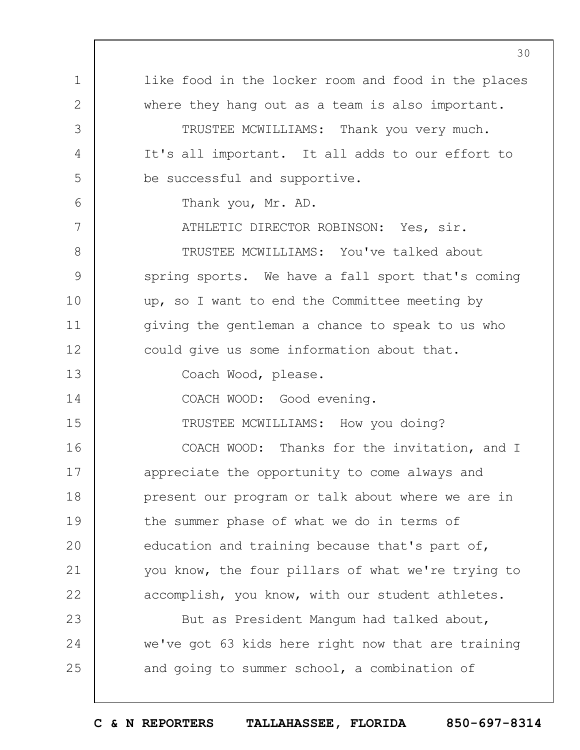1 2 3 4 5 6 7 8 9 10 11 12 13 14 15 16 17 18 19  $20$ 21 22 23 24 25 like food in the locker room and food in the places where they hang out as a team is also important. TRUSTEE MCWILLIAMS: Thank you very much. It's all important. It all adds to our effort to be successful and supportive. Thank you, Mr. AD. ATHLETIC DIRECTOR ROBINSON: Yes, sir. TRUSTEE MCWILLIAMS: You've talked about spring sports. We have a fall sport that's coming up, so I want to end the Committee meeting by giving the gentleman a chance to speak to us who could give us some information about that. Coach Wood, please. COACH WOOD: Good evening. TRUSTEE MCWILLIAMS: How you doing? COACH WOOD: Thanks for the invitation, and I appreciate the opportunity to come always and present our program or talk about where we are in the summer phase of what we do in terms of education and training because that's part of, you know, the four pillars of what we're trying to accomplish, you know, with our student athletes. But as President Mangum had talked about, we've got 63 kids here right now that are training and going to summer school, a combination of

**C & N REPORTERS TALLAHASSEE, FLORIDA 850-697-8314**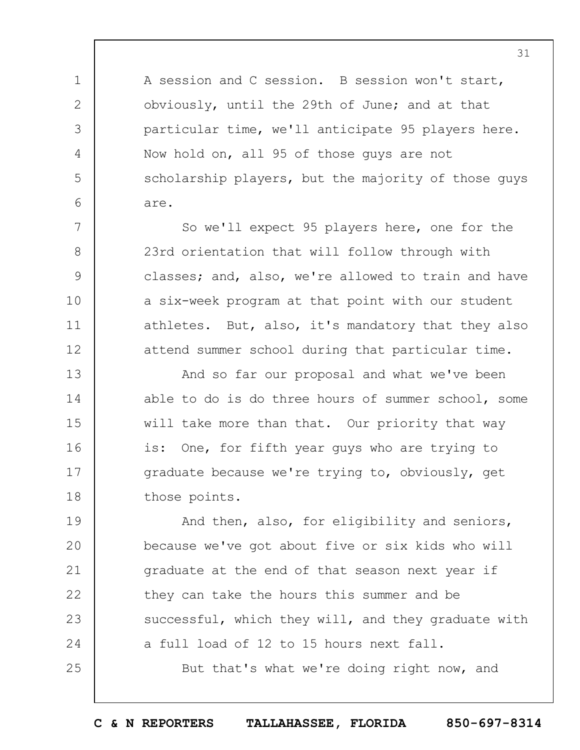A session and C session. B session won't start, obviously, until the 29th of June; and at that particular time, we'll anticipate 95 players here. Now hold on, all 95 of those guys are not scholarship players, but the majority of those guys are.

1

2

3

4

5

6

7

8

9

10

11

12

25

So we'll expect 95 players here, one for the 23rd orientation that will follow through with classes; and, also, we're allowed to train and have a six-week program at that point with our student athletes. But, also, it's mandatory that they also attend summer school during that particular time.

13 14 15 16 17 18 And so far our proposal and what we've been able to do is do three hours of summer school, some will take more than that. Our priority that way is: One, for fifth year guys who are trying to graduate because we're trying to, obviously, get those points.

19  $20$ 21 22 23 24 And then, also, for eligibility and seniors, because we've got about five or six kids who will graduate at the end of that season next year if they can take the hours this summer and be successful, which they will, and they graduate with a full load of 12 to 15 hours next fall.

But that's what we're doing right now, and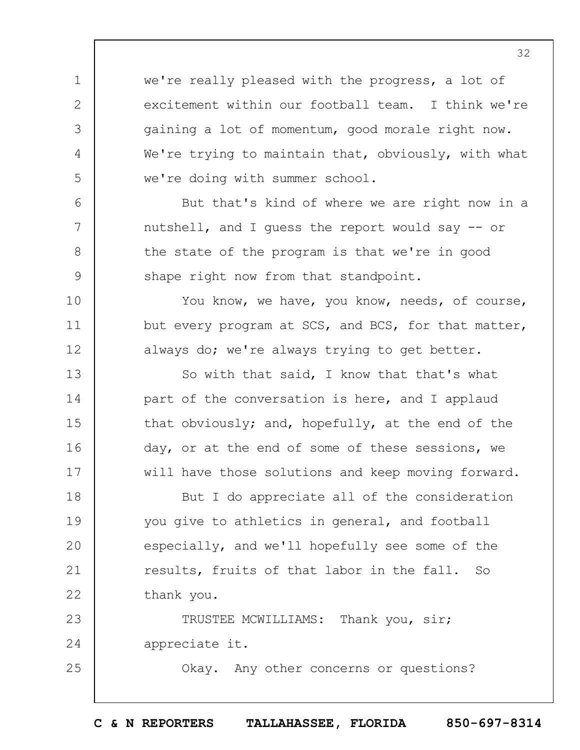we're really pleased with the progress, a lot of excitement within our football team. I think we're gaining a lot of momentum, good morale right now. We're trying to maintain that, obviously, with what we're doing with summer school.

1

2

3

4

5

6

7

8

9

10

11

12

13

14

15

16

17

25

But that's kind of where we are right now in a nutshell, and I guess the report would say -- or the state of the program is that we're in good shape right now from that standpoint.

You know, we have, you know, needs, of course, but every program at SCS, and BCS, for that matter, always do; we're always trying to get better.

So with that said, I know that that's what part of the conversation is here, and I applaud that obviously; and, hopefully, at the end of the day, or at the end of some of these sessions, we will have those solutions and keep moving forward.

18 19  $20$ 21 22 But I do appreciate all of the consideration you give to athletics in general, and football especially, and we'll hopefully see some of the results, fruits of that labor in the fall. So thank you.

23 24 TRUSTEE MCWILLIAMS: Thank you, sir; appreciate it.

Okay. Any other concerns or questions?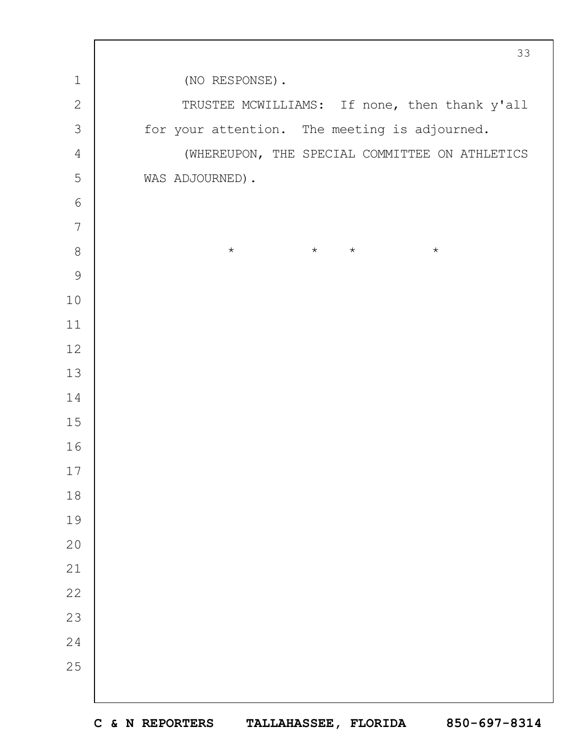(NO RESPONSE). TRUSTEE MCWILLIAMS: If none, then thank y'all for your attention. The meeting is adjourned. (WHEREUPON, THE SPECIAL COMMITTEE ON ATHLETICS WAS ADJOURNED).  $\star$   $\star$   $\star$   $\star$